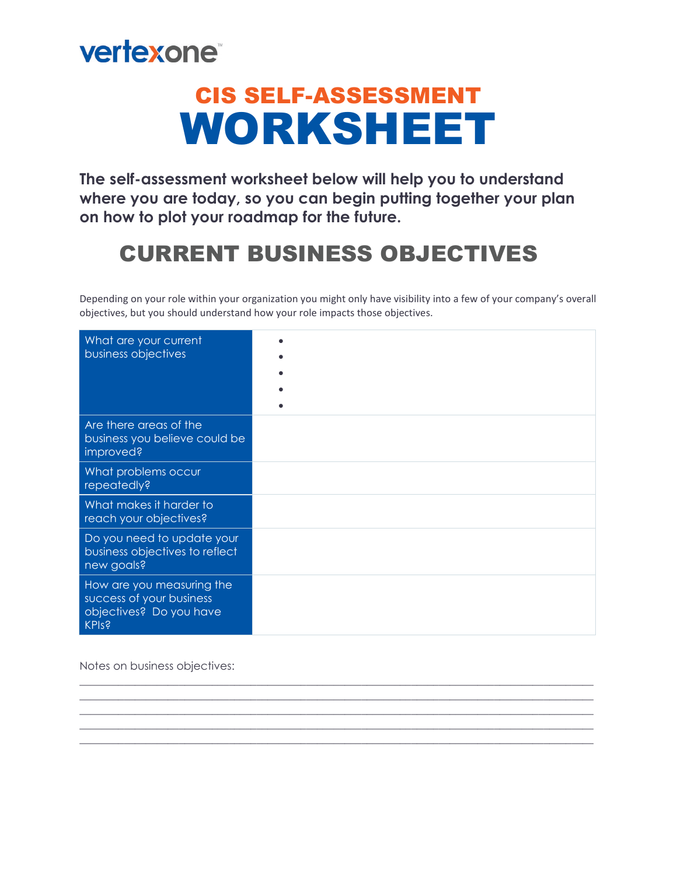

# CIS SELF-ASSESSMENT WORKSHEET

**The self-assessment worksheet below will help you to understand where you are today, so you can begin putting together your plan on how to plot your roadmap for the future.**

### CURRENT BUSINESS OBJECTIVES

Depending on your role within your organization you might only have visibility into a few of your company's overall objectives, but you should understand how your role impacts those objectives.

| What are your current<br>business objectives                                                     |  |
|--------------------------------------------------------------------------------------------------|--|
| Are there areas of the<br>business you believe could be<br>improved?                             |  |
| What problems occur<br>repeatedly?                                                               |  |
| What makes it harder to<br>reach your objectives?                                                |  |
| Do you need to update your<br>business objectives to reflect<br>new goals?                       |  |
| How are you measuring the<br>success of your business<br>objectives? Do you have<br><b>KPIs?</b> |  |

\_\_\_\_\_\_\_\_\_\_\_\_\_\_\_\_\_\_\_\_\_\_\_\_\_\_\_\_\_\_\_\_\_\_\_\_\_\_\_\_\_\_\_\_\_\_\_\_\_\_\_\_\_\_\_\_\_\_\_\_\_\_\_\_\_\_\_\_\_\_\_\_\_\_\_\_\_\_\_\_\_\_\_\_\_\_\_\_\_\_\_\_\_  $\mathcal{L}_\mathcal{L} = \{ \mathcal{L}_\mathcal{L} = \{ \mathcal{L}_\mathcal{L} = \{ \mathcal{L}_\mathcal{L} = \{ \mathcal{L}_\mathcal{L} = \{ \mathcal{L}_\mathcal{L} = \{ \mathcal{L}_\mathcal{L} = \{ \mathcal{L}_\mathcal{L} = \{ \mathcal{L}_\mathcal{L} = \{ \mathcal{L}_\mathcal{L} = \{ \mathcal{L}_\mathcal{L} = \{ \mathcal{L}_\mathcal{L} = \{ \mathcal{L}_\mathcal{L} = \{ \mathcal{L}_\mathcal{L} = \{ \mathcal{L}_\mathcal{$  $\mathcal{L}_\mathcal{L} = \{ \mathcal{L}_\mathcal{L} = \{ \mathcal{L}_\mathcal{L} = \{ \mathcal{L}_\mathcal{L} = \{ \mathcal{L}_\mathcal{L} = \{ \mathcal{L}_\mathcal{L} = \{ \mathcal{L}_\mathcal{L} = \{ \mathcal{L}_\mathcal{L} = \{ \mathcal{L}_\mathcal{L} = \{ \mathcal{L}_\mathcal{L} = \{ \mathcal{L}_\mathcal{L} = \{ \mathcal{L}_\mathcal{L} = \{ \mathcal{L}_\mathcal{L} = \{ \mathcal{L}_\mathcal{L} = \{ \mathcal{L}_\mathcal{$ \_\_\_\_\_\_\_\_\_\_\_\_\_\_\_\_\_\_\_\_\_\_\_\_\_\_\_\_\_\_\_\_\_\_\_\_\_\_\_\_\_\_\_\_\_\_\_\_\_\_\_\_\_\_\_\_\_\_\_\_\_\_\_\_\_\_\_\_\_\_\_\_\_\_\_\_\_\_\_\_\_\_\_\_\_\_\_\_\_\_\_\_\_ \_\_\_\_\_\_\_\_\_\_\_\_\_\_\_\_\_\_\_\_\_\_\_\_\_\_\_\_\_\_\_\_\_\_\_\_\_\_\_\_\_\_\_\_\_\_\_\_\_\_\_\_\_\_\_\_\_\_\_\_\_\_\_\_\_\_\_\_\_\_\_\_\_\_\_\_\_\_\_\_\_\_\_\_\_\_\_\_\_\_\_\_\_

Notes on business objectives: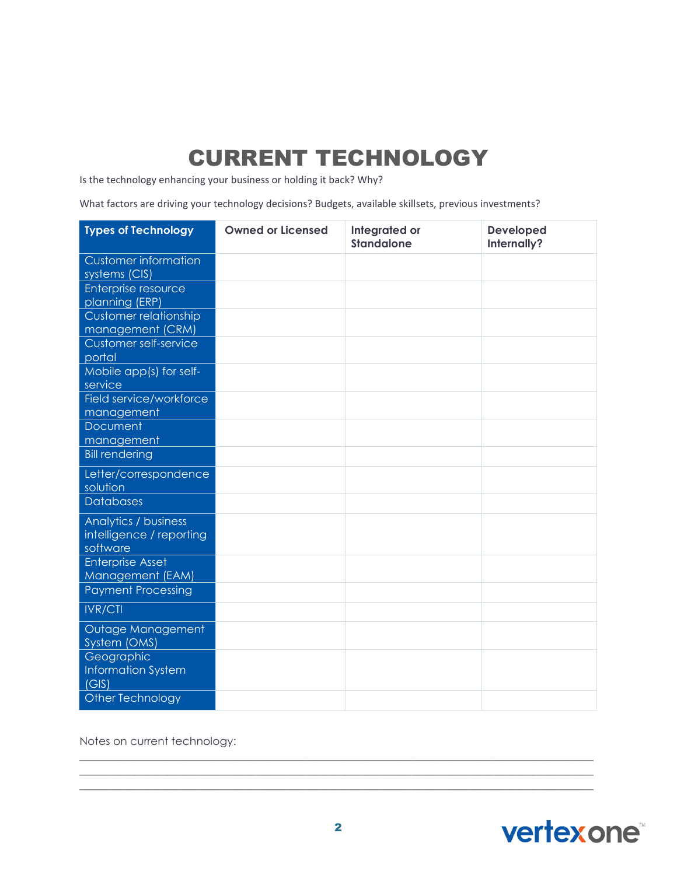# CURRENT TECHNOLOGY

Is the technology enhancing your business or holding it back? Why?

What factors are driving your technology decisions? Budgets, available skillsets, previous investments?

| <b>Types of Technology</b>                                   | <b>Owned or Licensed</b> | Integrated or<br><b>Standalone</b> | <b>Developed</b><br>Internally? |
|--------------------------------------------------------------|--------------------------|------------------------------------|---------------------------------|
| <b>Customer information</b><br>systems (CIS)                 |                          |                                    |                                 |
| Enterprise resource<br>planning (ERP)                        |                          |                                    |                                 |
| Customer relationship<br>management (CRM)                    |                          |                                    |                                 |
| <b>Customer self-service</b><br>portal                       |                          |                                    |                                 |
| Mobile app(s) for self-<br>service                           |                          |                                    |                                 |
| Field service/workforce<br>management                        |                          |                                    |                                 |
| Document<br>management                                       |                          |                                    |                                 |
| <b>Bill rendering</b>                                        |                          |                                    |                                 |
| Letter/correspondence<br>solution                            |                          |                                    |                                 |
| <b>Databases</b>                                             |                          |                                    |                                 |
| Analytics / business<br>intelligence / reporting<br>software |                          |                                    |                                 |
| <b>Enterprise Asset</b><br>Management (EAM)                  |                          |                                    |                                 |
| <b>Payment Processing</b>                                    |                          |                                    |                                 |
| <b>IVR/CTI</b>                                               |                          |                                    |                                 |
| Outage Management<br>System (OMS)                            |                          |                                    |                                 |
| Geographic<br><b>Information System</b><br>(GIS)             |                          |                                    |                                 |
| Other Technology                                             |                          |                                    |                                 |

Notes on current technology:



\_\_\_\_\_\_\_\_\_\_\_\_\_\_\_\_\_\_\_\_\_\_\_\_\_\_\_\_\_\_\_\_\_\_\_\_\_\_\_\_\_\_\_\_\_\_\_\_\_\_\_\_\_\_\_\_\_\_\_\_\_\_\_\_\_\_\_\_\_\_\_\_\_\_\_\_\_\_\_\_\_\_\_\_\_\_\_\_\_\_\_\_\_ \_\_\_\_\_\_\_\_\_\_\_\_\_\_\_\_\_\_\_\_\_\_\_\_\_\_\_\_\_\_\_\_\_\_\_\_\_\_\_\_\_\_\_\_\_\_\_\_\_\_\_\_\_\_\_\_\_\_\_\_\_\_\_\_\_\_\_\_\_\_\_\_\_\_\_\_\_\_\_\_\_\_\_\_\_\_\_\_\_\_\_\_\_  $\mathcal{L}_\mathcal{L} = \{ \mathcal{L}_\mathcal{L} = \{ \mathcal{L}_\mathcal{L} = \{ \mathcal{L}_\mathcal{L} = \{ \mathcal{L}_\mathcal{L} = \{ \mathcal{L}_\mathcal{L} = \{ \mathcal{L}_\mathcal{L} = \{ \mathcal{L}_\mathcal{L} = \{ \mathcal{L}_\mathcal{L} = \{ \mathcal{L}_\mathcal{L} = \{ \mathcal{L}_\mathcal{L} = \{ \mathcal{L}_\mathcal{L} = \{ \mathcal{L}_\mathcal{L} = \{ \mathcal{L}_\mathcal{L} = \{ \mathcal{L}_\mathcal{$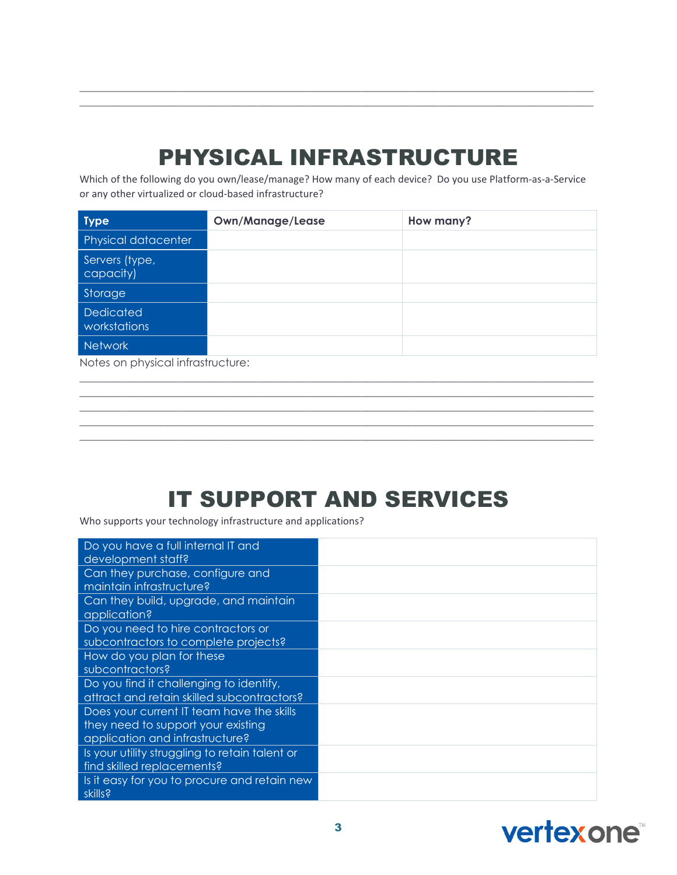#### PHYSICAL INFRASTRUCTURE

\_\_\_\_\_\_\_\_\_\_\_\_\_\_\_\_\_\_\_\_\_\_\_\_\_\_\_\_\_\_\_\_\_\_\_\_\_\_\_\_\_\_\_\_\_\_\_\_\_\_\_\_\_\_\_\_\_\_\_\_\_\_\_\_\_\_\_\_\_\_\_\_\_\_\_\_\_\_\_\_\_\_\_\_\_\_\_\_\_\_\_\_\_  $\mathcal{L}_\mathcal{L} = \{ \mathcal{L}_\mathcal{L} = \{ \mathcal{L}_\mathcal{L} = \{ \mathcal{L}_\mathcal{L} = \{ \mathcal{L}_\mathcal{L} = \{ \mathcal{L}_\mathcal{L} = \{ \mathcal{L}_\mathcal{L} = \{ \mathcal{L}_\mathcal{L} = \{ \mathcal{L}_\mathcal{L} = \{ \mathcal{L}_\mathcal{L} = \{ \mathcal{L}_\mathcal{L} = \{ \mathcal{L}_\mathcal{L} = \{ \mathcal{L}_\mathcal{L} = \{ \mathcal{L}_\mathcal{L} = \{ \mathcal{L}_\mathcal{$ 

Which of the following do you own/lease/manage? How many of each device? Do you use Platform-as-a-Service or any other virtualized or cloud-based infrastructure?

| <b>Type</b>                 | <b>Own/Manage/Lease</b> | How many? |
|-----------------------------|-------------------------|-----------|
| Physical datacenter         |                         |           |
| Servers (type,<br>capacity) |                         |           |
| Storage                     |                         |           |
| Dedicated<br>workstations   |                         |           |
| <b>Network</b>              |                         |           |

 $\mathcal{L}_\mathcal{L} = \{ \mathcal{L}_\mathcal{L} = \{ \mathcal{L}_\mathcal{L} = \{ \mathcal{L}_\mathcal{L} = \{ \mathcal{L}_\mathcal{L} = \{ \mathcal{L}_\mathcal{L} = \{ \mathcal{L}_\mathcal{L} = \{ \mathcal{L}_\mathcal{L} = \{ \mathcal{L}_\mathcal{L} = \{ \mathcal{L}_\mathcal{L} = \{ \mathcal{L}_\mathcal{L} = \{ \mathcal{L}_\mathcal{L} = \{ \mathcal{L}_\mathcal{L} = \{ \mathcal{L}_\mathcal{L} = \{ \mathcal{L}_\mathcal{$ \_\_\_\_\_\_\_\_\_\_\_\_\_\_\_\_\_\_\_\_\_\_\_\_\_\_\_\_\_\_\_\_\_\_\_\_\_\_\_\_\_\_\_\_\_\_\_\_\_\_\_\_\_\_\_\_\_\_\_\_\_\_\_\_\_\_\_\_\_\_\_\_\_\_\_\_\_\_\_\_\_\_\_\_\_\_\_\_\_\_\_\_\_ \_\_\_\_\_\_\_\_\_\_\_\_\_\_\_\_\_\_\_\_\_\_\_\_\_\_\_\_\_\_\_\_\_\_\_\_\_\_\_\_\_\_\_\_\_\_\_\_\_\_\_\_\_\_\_\_\_\_\_\_\_\_\_\_\_\_\_\_\_\_\_\_\_\_\_\_\_\_\_\_\_\_\_\_\_\_\_\_\_\_\_\_\_  $\mathcal{L}_\mathcal{L} = \{ \mathcal{L}_\mathcal{L} = \{ \mathcal{L}_\mathcal{L} = \{ \mathcal{L}_\mathcal{L} = \{ \mathcal{L}_\mathcal{L} = \{ \mathcal{L}_\mathcal{L} = \{ \mathcal{L}_\mathcal{L} = \{ \mathcal{L}_\mathcal{L} = \{ \mathcal{L}_\mathcal{L} = \{ \mathcal{L}_\mathcal{L} = \{ \mathcal{L}_\mathcal{L} = \{ \mathcal{L}_\mathcal{L} = \{ \mathcal{L}_\mathcal{L} = \{ \mathcal{L}_\mathcal{L} = \{ \mathcal{L}_\mathcal{$  $\mathcal{L}_\mathcal{L} = \{ \mathcal{L}_\mathcal{L} = \{ \mathcal{L}_\mathcal{L} = \{ \mathcal{L}_\mathcal{L} = \{ \mathcal{L}_\mathcal{L} = \{ \mathcal{L}_\mathcal{L} = \{ \mathcal{L}_\mathcal{L} = \{ \mathcal{L}_\mathcal{L} = \{ \mathcal{L}_\mathcal{L} = \{ \mathcal{L}_\mathcal{L} = \{ \mathcal{L}_\mathcal{L} = \{ \mathcal{L}_\mathcal{L} = \{ \mathcal{L}_\mathcal{L} = \{ \mathcal{L}_\mathcal{L} = \{ \mathcal{L}_\mathcal{$ 

Notes on physical infrastructure:

#### IT SUPPORT AND SERVICES

Who supports your technology infrastructure and applications?

| Do you have a full internal IT and<br>development staff?                                                           |  |
|--------------------------------------------------------------------------------------------------------------------|--|
| Can they purchase, configure and<br>maintain infrastructure?                                                       |  |
| Can they build, upgrade, and maintain<br>application?                                                              |  |
| Do you need to hire contractors or<br>subcontractors to complete projects?                                         |  |
| How do you plan for these<br>subcontractors?                                                                       |  |
| Do you find it challenging to identify,<br>attract and retain skilled subcontractors?                              |  |
| Does your current IT team have the skills<br>they need to support your existing<br>application and infrastructure? |  |
| Is your utility struggling to retain talent or<br>find skilled replacements?                                       |  |
| Is it easy for you to procure and retain new<br>skills?                                                            |  |

## **vertexone**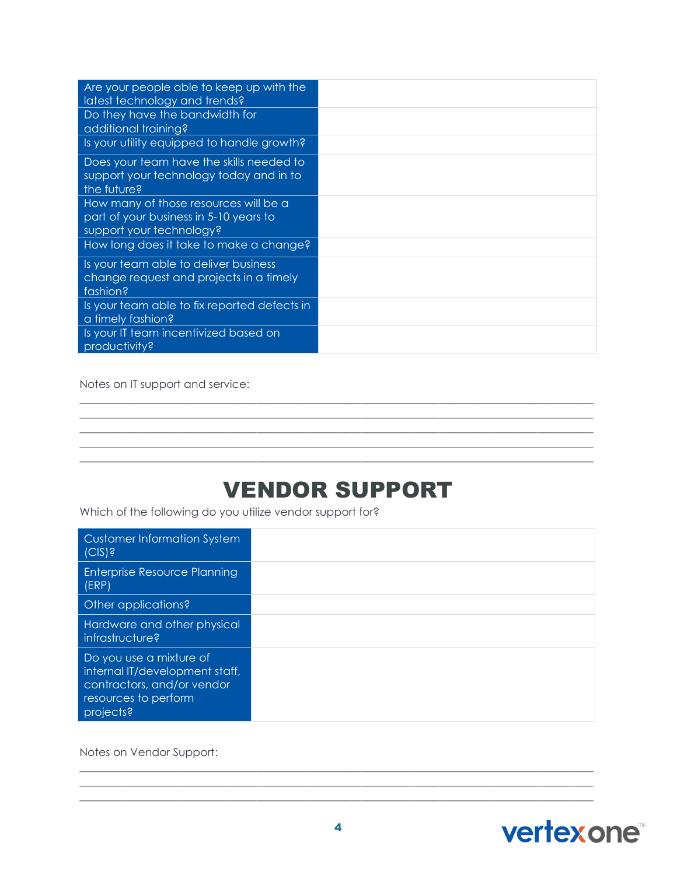| Are your people able to keep up with the<br>latest technology and trends?                                   |  |
|-------------------------------------------------------------------------------------------------------------|--|
| Do they have the bandwidth for<br>additional training?                                                      |  |
| Is your utility equipped to handle growth?                                                                  |  |
| Does your team have the skills needed to<br>support your technology today and in to<br>the future?          |  |
| How many of those resources will be a<br>part of your business in 5-10 years to<br>support your technology? |  |
| How long does it take to make a change?                                                                     |  |
| Is your team able to deliver business<br>change request and projects in a timely<br>fashion?                |  |
| Is your team able to fix reported defects in<br>a timely fashion?                                           |  |
| Is your IT team incentivized based on<br>productivity?                                                      |  |

Notes on IT support and service:

#### VENDOR SUPPORT

\_\_\_\_\_\_\_\_\_\_\_\_\_\_\_\_\_\_\_\_\_\_\_\_\_\_\_\_\_\_\_\_\_\_\_\_\_\_\_\_\_\_\_\_\_\_\_\_\_\_\_\_\_\_\_\_\_\_\_\_\_\_\_\_\_\_\_\_\_\_\_\_\_\_\_\_\_\_\_\_\_\_\_\_\_\_\_\_\_\_\_\_\_  $\mathcal{L}_\mathcal{L} = \{ \mathcal{L}_\mathcal{L} = \{ \mathcal{L}_\mathcal{L} = \{ \mathcal{L}_\mathcal{L} = \{ \mathcal{L}_\mathcal{L} = \{ \mathcal{L}_\mathcal{L} = \{ \mathcal{L}_\mathcal{L} = \{ \mathcal{L}_\mathcal{L} = \{ \mathcal{L}_\mathcal{L} = \{ \mathcal{L}_\mathcal{L} = \{ \mathcal{L}_\mathcal{L} = \{ \mathcal{L}_\mathcal{L} = \{ \mathcal{L}_\mathcal{L} = \{ \mathcal{L}_\mathcal{L} = \{ \mathcal{L}_\mathcal{$ \_\_\_\_\_\_\_\_\_\_\_\_\_\_\_\_\_\_\_\_\_\_\_\_\_\_\_\_\_\_\_\_\_\_\_\_\_\_\_\_\_\_\_\_\_\_\_\_\_\_\_\_\_\_\_\_\_\_\_\_\_\_\_\_\_\_\_\_\_\_\_\_\_\_\_\_\_\_\_\_\_\_\_\_\_\_\_\_\_\_\_\_\_ \_\_\_\_\_\_\_\_\_\_\_\_\_\_\_\_\_\_\_\_\_\_\_\_\_\_\_\_\_\_\_\_\_\_\_\_\_\_\_\_\_\_\_\_\_\_\_\_\_\_\_\_\_\_\_\_\_\_\_\_\_\_\_\_\_\_\_\_\_\_\_\_\_\_\_\_\_\_\_\_\_\_\_\_\_\_\_\_\_\_\_\_\_  $\mathcal{L}_\mathcal{L} = \{ \mathcal{L}_\mathcal{L} = \{ \mathcal{L}_\mathcal{L} = \{ \mathcal{L}_\mathcal{L} = \{ \mathcal{L}_\mathcal{L} = \{ \mathcal{L}_\mathcal{L} = \{ \mathcal{L}_\mathcal{L} = \{ \mathcal{L}_\mathcal{L} = \{ \mathcal{L}_\mathcal{L} = \{ \mathcal{L}_\mathcal{L} = \{ \mathcal{L}_\mathcal{L} = \{ \mathcal{L}_\mathcal{L} = \{ \mathcal{L}_\mathcal{L} = \{ \mathcal{L}_\mathcal{L} = \{ \mathcal{L}_\mathcal{$ 

Which of the following do you utilize vendor support for?

| <b>Customer Information System</b><br>(C S)                                                                                  |  |
|------------------------------------------------------------------------------------------------------------------------------|--|
| Enterprise Resource Planning<br>(ERP)                                                                                        |  |
| Other applications?                                                                                                          |  |
| Hardware and other physical<br>infrastructure?                                                                               |  |
| Do you use a mixture of<br>internal IT/development staff,<br>contractors, and/or vendor<br>resources to perform<br>projects? |  |

Notes on Vendor Support:



 $\mathcal{L}_\mathcal{L} = \{ \mathcal{L}_\mathcal{L} = \{ \mathcal{L}_\mathcal{L} = \{ \mathcal{L}_\mathcal{L} = \{ \mathcal{L}_\mathcal{L} = \{ \mathcal{L}_\mathcal{L} = \{ \mathcal{L}_\mathcal{L} = \{ \mathcal{L}_\mathcal{L} = \{ \mathcal{L}_\mathcal{L} = \{ \mathcal{L}_\mathcal{L} = \{ \mathcal{L}_\mathcal{L} = \{ \mathcal{L}_\mathcal{L} = \{ \mathcal{L}_\mathcal{L} = \{ \mathcal{L}_\mathcal{L} = \{ \mathcal{L}_\mathcal{$ \_\_\_\_\_\_\_\_\_\_\_\_\_\_\_\_\_\_\_\_\_\_\_\_\_\_\_\_\_\_\_\_\_\_\_\_\_\_\_\_\_\_\_\_\_\_\_\_\_\_\_\_\_\_\_\_\_\_\_\_\_\_\_\_\_\_\_\_\_\_\_\_\_\_\_\_\_\_\_\_\_\_\_\_\_\_\_\_\_\_\_\_\_  $\mathcal{L}_\mathcal{L} = \{ \mathcal{L}_\mathcal{L} = \{ \mathcal{L}_\mathcal{L} = \{ \mathcal{L}_\mathcal{L} = \{ \mathcal{L}_\mathcal{L} = \{ \mathcal{L}_\mathcal{L} = \{ \mathcal{L}_\mathcal{L} = \{ \mathcal{L}_\mathcal{L} = \{ \mathcal{L}_\mathcal{L} = \{ \mathcal{L}_\mathcal{L} = \{ \mathcal{L}_\mathcal{L} = \{ \mathcal{L}_\mathcal{L} = \{ \mathcal{L}_\mathcal{L} = \{ \mathcal{L}_\mathcal{L} = \{ \mathcal{L}_\mathcal{$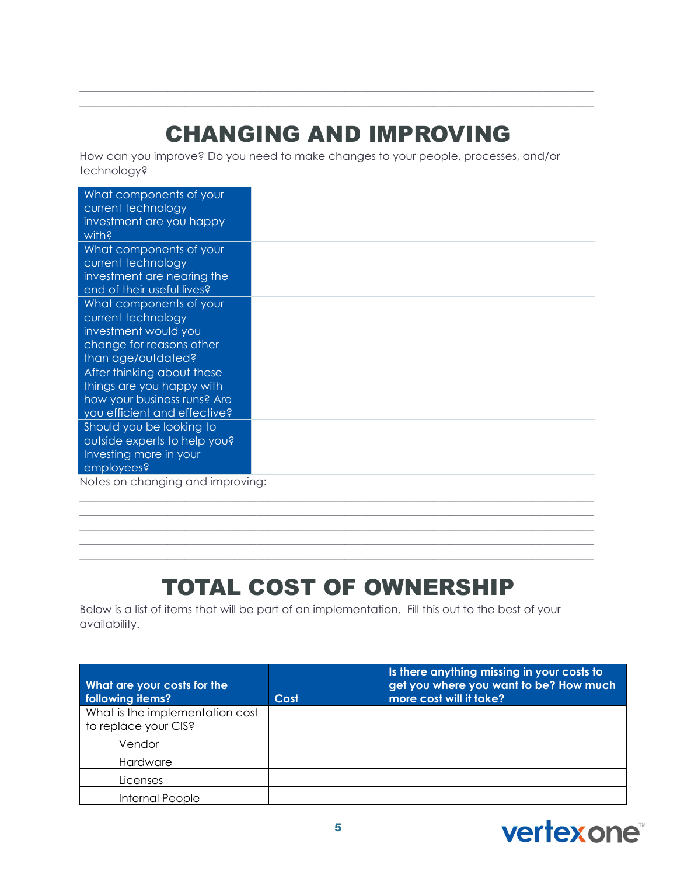# CHANGING AND IMPROVING

\_\_\_\_\_\_\_\_\_\_\_\_\_\_\_\_\_\_\_\_\_\_\_\_\_\_\_\_\_\_\_\_\_\_\_\_\_\_\_\_\_\_\_\_\_\_\_\_\_\_\_\_\_\_\_\_\_\_\_\_\_\_\_\_\_\_\_\_\_\_\_\_\_\_\_\_\_\_\_\_\_\_\_\_\_\_\_\_\_\_\_\_\_  $\mathcal{L}_\mathcal{L} = \{ \mathcal{L}_\mathcal{L} = \{ \mathcal{L}_\mathcal{L} = \{ \mathcal{L}_\mathcal{L} = \{ \mathcal{L}_\mathcal{L} = \{ \mathcal{L}_\mathcal{L} = \{ \mathcal{L}_\mathcal{L} = \{ \mathcal{L}_\mathcal{L} = \{ \mathcal{L}_\mathcal{L} = \{ \mathcal{L}_\mathcal{L} = \{ \mathcal{L}_\mathcal{L} = \{ \mathcal{L}_\mathcal{L} = \{ \mathcal{L}_\mathcal{L} = \{ \mathcal{L}_\mathcal{L} = \{ \mathcal{L}_\mathcal{$ 

How can you improve? Do you need to make changes to your people, processes, and/or technology?

| What components of your<br>current technology<br>investment are you happy<br>with? |  |
|------------------------------------------------------------------------------------|--|
| What components of your                                                            |  |
| current technology                                                                 |  |
| investment are nearing the                                                         |  |
| end of their useful lives?                                                         |  |
| What components of your                                                            |  |
| current technology                                                                 |  |
| investment would you                                                               |  |
| change for reasons other                                                           |  |
| than age/outdated?                                                                 |  |
| After thinking about these                                                         |  |
| things are you happy with                                                          |  |
| how your business runs? Are                                                        |  |
| you efficient and effective?                                                       |  |
| Should you be looking to                                                           |  |
| outside experts to help you?                                                       |  |
| Investing more in your                                                             |  |
| employees?                                                                         |  |
| Notes on changing and improving:                                                   |  |

Notes on changing and improving:

### TOTAL COST OF OWNERSHIP

\_\_\_\_\_\_\_\_\_\_\_\_\_\_\_\_\_\_\_\_\_\_\_\_\_\_\_\_\_\_\_\_\_\_\_\_\_\_\_\_\_\_\_\_\_\_\_\_\_\_\_\_\_\_\_\_\_\_\_\_\_\_\_\_\_\_\_\_\_\_\_\_\_\_\_\_\_\_\_\_\_\_\_\_\_\_\_\_\_\_\_\_\_  $\mathcal{L}_\mathcal{L} = \{ \mathcal{L}_\mathcal{L} = \{ \mathcal{L}_\mathcal{L} = \{ \mathcal{L}_\mathcal{L} = \{ \mathcal{L}_\mathcal{L} = \{ \mathcal{L}_\mathcal{L} = \{ \mathcal{L}_\mathcal{L} = \{ \mathcal{L}_\mathcal{L} = \{ \mathcal{L}_\mathcal{L} = \{ \mathcal{L}_\mathcal{L} = \{ \mathcal{L}_\mathcal{L} = \{ \mathcal{L}_\mathcal{L} = \{ \mathcal{L}_\mathcal{L} = \{ \mathcal{L}_\mathcal{L} = \{ \mathcal{L}_\mathcal{$  $\mathcal{L}_\mathcal{L} = \{ \mathcal{L}_\mathcal{L} = \{ \mathcal{L}_\mathcal{L} = \{ \mathcal{L}_\mathcal{L} = \{ \mathcal{L}_\mathcal{L} = \{ \mathcal{L}_\mathcal{L} = \{ \mathcal{L}_\mathcal{L} = \{ \mathcal{L}_\mathcal{L} = \{ \mathcal{L}_\mathcal{L} = \{ \mathcal{L}_\mathcal{L} = \{ \mathcal{L}_\mathcal{L} = \{ \mathcal{L}_\mathcal{L} = \{ \mathcal{L}_\mathcal{L} = \{ \mathcal{L}_\mathcal{L} = \{ \mathcal{L}_\mathcal{$ \_\_\_\_\_\_\_\_\_\_\_\_\_\_\_\_\_\_\_\_\_\_\_\_\_\_\_\_\_\_\_\_\_\_\_\_\_\_\_\_\_\_\_\_\_\_\_\_\_\_\_\_\_\_\_\_\_\_\_\_\_\_\_\_\_\_\_\_\_\_\_\_\_\_\_\_\_\_\_\_\_\_\_\_\_\_\_\_\_\_\_\_\_ \_\_\_\_\_\_\_\_\_\_\_\_\_\_\_\_\_\_\_\_\_\_\_\_\_\_\_\_\_\_\_\_\_\_\_\_\_\_\_\_\_\_\_\_\_\_\_\_\_\_\_\_\_\_\_\_\_\_\_\_\_\_\_\_\_\_\_\_\_\_\_\_\_\_\_\_\_\_\_\_\_\_\_\_\_\_\_\_\_\_\_\_\_

Below is a list of items that will be part of an implementation. Fill this out to the best of your availability.

| What are your costs for the<br>following items?         | Cost | Is there anything missing in your costs to<br>get you where you want to be? How much<br>more cost will it take? |
|---------------------------------------------------------|------|-----------------------------------------------------------------------------------------------------------------|
| What is the implementation cost<br>to replace your CIS? |      |                                                                                                                 |
| Vendor                                                  |      |                                                                                                                 |
| Hardware                                                |      |                                                                                                                 |
| Licenses                                                |      |                                                                                                                 |
| Internal People                                         |      |                                                                                                                 |

# **vertexone**